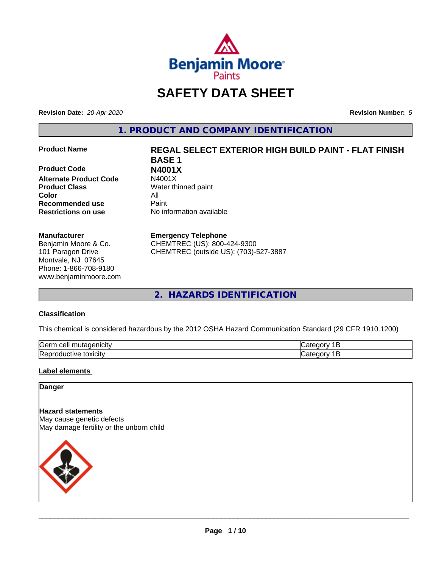

# **SAFETY DATA SHEET**

**Revision Date:** *20-Apr-2020* **Revision Number:** *5*

**1. PRODUCT AND COMPANY IDENTIFICATION**

**Product Code N4001X Alternate Product Code Product Class** Water thinned paint **Color** All **Recommended use** Paint **Restrictions on use** No information available

#### **Manufacturer**

Benjamin Moore & Co. 101 Paragon Drive Montvale, NJ 07645 Phone: 1-866-708-9180 www.benjaminmoore.com

# **Product Name REGAL SELECT EXTERIOR HIGH BUILD PAINT - FLAT FINISH BASE 1**

#### **Emergency Telephone**

CHEMTREC (US): 800-424-9300 CHEMTREC (outside US): (703)-527-3887

**2. HAZARDS IDENTIFICATION**

#### **Classification**

This chemical is considered hazardous by the 2012 OSHA Hazard Communication Standard (29 CFR 1910.1200)

| <b>Serr</b><br>---<br>$\cdot$          |  |
|----------------------------------------|--|
| <b>Re</b><br>*OXICItV<br>174<br>и<br>ш |  |

#### **Label elements**

#### **Danger**

**Hazard statements** May cause genetic defects May damage fertility or the unborn child

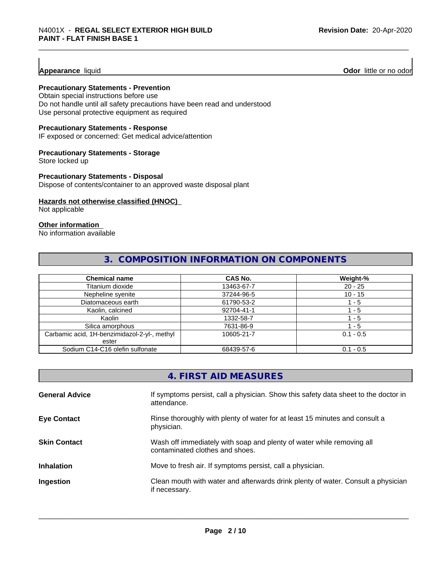**Appearance** liquid **Odor 11** Odor little or no odor

#### **Precautionary Statements - Prevention**

Obtain special instructions before use Do not handle until all safety precautions have been read and understood Use personal protective equipment as required

#### **Precautionary Statements - Response**

IF exposed or concerned: Get medical advice/attention

#### **Precautionary Statements - Storage**

Store locked up

#### **Precautionary Statements - Disposal**

Dispose of contents/container to an approved waste disposal plant

#### **Hazards not otherwise classified (HNOC)**

Not applicable

#### **Other information**

No information available

#### **3. COMPOSITION INFORMATION ON COMPONENTS**

| <b>Chemical name</b>                         | <b>CAS No.</b> | Weight-%    |
|----------------------------------------------|----------------|-------------|
| Titanium dioxide                             | 13463-67-7     | $20 - 25$   |
| Nepheline syenite                            | 37244-96-5     | $10 - 15$   |
| Diatomaceous earth                           | 61790-53-2     | ' - 5       |
| Kaolin, calcined                             | 92704-41-1     | - 5         |
| Kaolin                                       | 1332-58-7      | 1 - 5       |
| Silica amorphous                             | 7631-86-9      | $-5$        |
| Carbamic acid, 1H-benzimidazol-2-yl-, methyl | 10605-21-7     | $0.1 - 0.5$ |
| ester                                        |                |             |
| Sodium C14-C16 olefin sulfonate              | 68439-57-6     | $0.1 - 0.5$ |

|                       | 4. FIRST AID MEASURES                                                                                    |
|-----------------------|----------------------------------------------------------------------------------------------------------|
| <b>General Advice</b> | If symptoms persist, call a physician. Show this safety data sheet to the doctor in<br>attendance.       |
| <b>Eye Contact</b>    | Rinse thoroughly with plenty of water for at least 15 minutes and consult a<br>physician.                |
| <b>Skin Contact</b>   | Wash off immediately with soap and plenty of water while removing all<br>contaminated clothes and shoes. |
| <b>Inhalation</b>     | Move to fresh air. If symptoms persist, call a physician.                                                |
| Ingestion             | Clean mouth with water and afterwards drink plenty of water. Consult a physician<br>if necessary.        |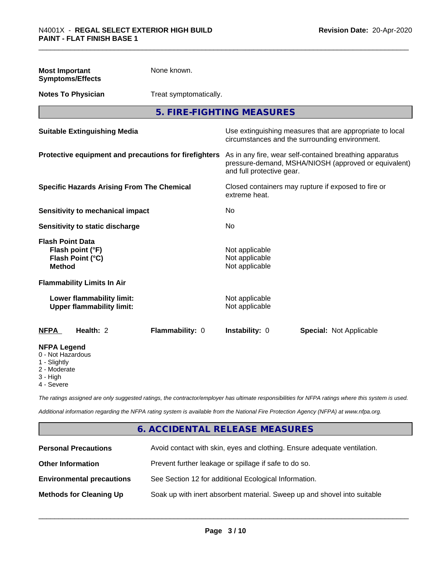| <b>Most Important</b><br><b>Symptoms/Effects</b>                                                  | None known.            |                                                                                                                                              |                                                                                                            |  |
|---------------------------------------------------------------------------------------------------|------------------------|----------------------------------------------------------------------------------------------------------------------------------------------|------------------------------------------------------------------------------------------------------------|--|
| <b>Notes To Physician</b>                                                                         | Treat symptomatically. |                                                                                                                                              |                                                                                                            |  |
|                                                                                                   |                        | 5. FIRE-FIGHTING MEASURES                                                                                                                    |                                                                                                            |  |
| <b>Suitable Extinguishing Media</b>                                                               |                        |                                                                                                                                              | Use extinguishing measures that are appropriate to local<br>circumstances and the surrounding environment. |  |
| Protective equipment and precautions for firefighters                                             |                        | As in any fire, wear self-contained breathing apparatus<br>pressure-demand, MSHA/NIOSH (approved or equivalent)<br>and full protective gear. |                                                                                                            |  |
| <b>Specific Hazards Arising From The Chemical</b>                                                 |                        | Closed containers may rupture if exposed to fire or<br>extreme heat.                                                                         |                                                                                                            |  |
| <b>Sensitivity to mechanical impact</b>                                                           |                        | No.                                                                                                                                          |                                                                                                            |  |
| <b>Sensitivity to static discharge</b>                                                            |                        | <b>No</b>                                                                                                                                    |                                                                                                            |  |
| <b>Flash Point Data</b><br>Flash point (°F)<br>Flash Point (°C)<br><b>Method</b>                  |                        | Not applicable<br>Not applicable<br>Not applicable                                                                                           |                                                                                                            |  |
| <b>Flammability Limits In Air</b>                                                                 |                        |                                                                                                                                              |                                                                                                            |  |
| Lower flammability limit:<br><b>Upper flammability limit:</b>                                     |                        | Not applicable<br>Not applicable                                                                                                             |                                                                                                            |  |
| <b>NFPA</b><br>Health: 2                                                                          | Flammability: 0        | Instability: 0                                                                                                                               | <b>Special: Not Applicable</b>                                                                             |  |
| <b>NFPA Legend</b><br>0 - Not Hazardous<br>1 - Slightly<br>2 - Moderate<br>3 - High<br>4 - Severe |                        |                                                                                                                                              |                                                                                                            |  |

*The ratings assigned are only suggested ratings, the contractor/employer has ultimate responsibilities for NFPA ratings where this system is used.*

*Additional information regarding the NFPA rating system is available from the National Fire Protection Agency (NFPA) at www.nfpa.org.*

## **6. ACCIDENTAL RELEASE MEASURES**

| <b>Personal Precautions</b>      | Avoid contact with skin, eyes and clothing. Ensure adequate ventilation. |
|----------------------------------|--------------------------------------------------------------------------|
| <b>Other Information</b>         | Prevent further leakage or spillage if safe to do so.                    |
| <b>Environmental precautions</b> | See Section 12 for additional Ecological Information.                    |
| <b>Methods for Cleaning Up</b>   | Soak up with inert absorbent material. Sweep up and shovel into suitable |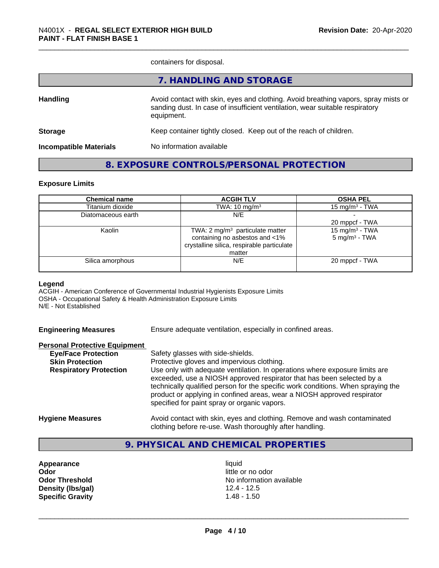containers for disposal.

|                               | 7. HANDLING AND STORAGE                                                                                                                                                          |
|-------------------------------|----------------------------------------------------------------------------------------------------------------------------------------------------------------------------------|
| <b>Handling</b>               | Avoid contact with skin, eyes and clothing. Avoid breathing vapors, spray mists or<br>sanding dust. In case of insufficient ventilation, wear suitable respiratory<br>equipment. |
| <b>Storage</b>                | Keep container tightly closed. Keep out of the reach of children.                                                                                                                |
| <b>Incompatible Materials</b> | No information available                                                                                                                                                         |
|                               |                                                                                                                                                                                  |

### **8. EXPOSURE CONTROLS/PERSONAL PROTECTION**

#### **Exposure Limits**

| <b>Chemical name</b> | <b>ACGIH TLV</b>                           | <b>OSHA PEL</b>            |
|----------------------|--------------------------------------------|----------------------------|
| Titanium dioxide     | TWA: $10 \text{ mg/m}^3$                   | 15 mg/m $3$ - TWA          |
| Diatomaceous earth   | N/E                                        |                            |
|                      |                                            | 20 mppcf - TWA             |
| Kaolin               | TWA: 2 $mg/m3$ particulate matter          | 15 mg/m <sup>3</sup> - TWA |
|                      | containing no asbestos and <1%             | $5 \text{ mg/m}^3$ - TWA   |
|                      | crystalline silica, respirable particulate |                            |
|                      | matter                                     |                            |
| Silica amorphous     | N/E                                        | 20 mppcf - TWA             |
|                      |                                            |                            |

#### **Legend**

ACGIH - American Conference of Governmental Industrial Hygienists Exposure Limits OSHA - Occupational Safety & Health Administration Exposure Limits N/E - Not Established

| <b>Engineering Measures</b> | Ensure adequate ventilation, especially in confined areas. |  |
|-----------------------------|------------------------------------------------------------|--|
|                             |                                                            |  |

|  |  | <b>Personal Protective Equipment</b> |  |  |
|--|--|--------------------------------------|--|--|
|  |  |                                      |  |  |

| <b>Eye/Face Protection</b>    | Safety glasses with side-shields.                                                                                                                                                                                                                                                                                                                                   |
|-------------------------------|---------------------------------------------------------------------------------------------------------------------------------------------------------------------------------------------------------------------------------------------------------------------------------------------------------------------------------------------------------------------|
| <b>Skin Protection</b>        | Protective gloves and impervious clothing.                                                                                                                                                                                                                                                                                                                          |
| <b>Respiratory Protection</b> | Use only with adequate ventilation. In operations where exposure limits are<br>exceeded, use a NIOSH approved respirator that has been selected by a<br>technically qualified person for the specific work conditions. When spraying the<br>product or applying in confined areas, wear a NIOSH approved respirator<br>specified for paint spray or organic vapors. |
| <b>Hygiene Measures</b>       | Avoid contact with skin, eyes and clothing. Remove and wash contaminated<br>clothing before re-use. Wash thoroughly after handling.                                                                                                                                                                                                                                 |

# **9. PHYSICAL AND CHEMICAL PROPERTIES**

**Appearance** liquid **Odor** little or no odor **Density (Ibs/gal)** 12.4 - 12.5<br> **Specific Gravity** 1.48 - 1.50 **Specific Gravity** 

**Odor Threshold** No information available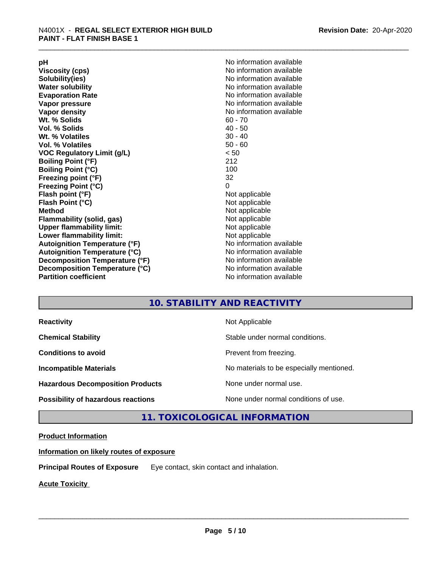**Viscosity (cps)** <br> **Viscosity (cps)** No information available<br>
No information available<br>
No information available **Water solubility**<br> **Evaporation Rate**<br> **Evaporation Rate**<br> **Evaporation Rate Vapor pressure** No information available **Vapor density No information available No information available Wt. % Solids** 60 - 70<br> **Vol. % Solids** 60 - 70<br> **Vol. % Solids** 40 - 50 **Vol. % Solids Wt.** % Volatiles 30 - 40 **Vol. % Volatiles** 50 - 60 **VOC Regulatory Limit (g/L)** < 50 **Boiling Point (°F)** 212 **Boiling Point (°C) Freezing point (°F)** 32 **Freezing Point (°C)** 0 **Flash point (°F)** Not applicable **Flash Point (°C)** Not applicable **Method**<br> **Flammability (solid, gas)**<br> **Example 2018** Not applicable **Flammability** (solid, gas) **Upper flammability limit:** Not applicable **Lower flammability limit:** Not applicable **Autoignition Temperature (°F)** No information available **Autoignition Temperature (°C)** No information available **Decomposition Temperature (°F)** No information available **Decomposition Temperature (°C)** No information available<br> **Partition coefficient Partition available** 

**pH**<br>
Viscosity (cps) The Contract of the Contract of No information available<br>
No information available **Solubility(ies)** No information available **Evaporation Rate** No information available **No information available** 

### **10. STABILITY AND REACTIVITY**

| <b>Reactivity</b>                         | Not Applicable                           |
|-------------------------------------------|------------------------------------------|
| <b>Chemical Stability</b>                 | Stable under normal conditions.          |
| <b>Conditions to avoid</b>                | Prevent from freezing.                   |
| <b>Incompatible Materials</b>             | No materials to be especially mentioned. |
| <b>Hazardous Decomposition Products</b>   | None under normal use.                   |
| <b>Possibility of hazardous reactions</b> | None under normal conditions of use.     |

### **11. TOXICOLOGICAL INFORMATION**

#### **Product Information**

**Information on likely routes of exposure**

**Principal Routes of Exposure** Eye contact, skin contact and inhalation.

**Acute Toxicity**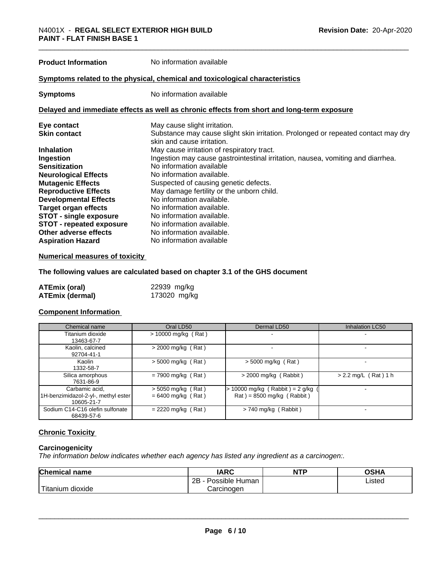**Product Information** No information available

#### **Symptoms related to the physical,chemical and toxicological characteristics**

**Symptoms** No information available

#### **Delayed and immediate effects as well as chronic effects from short and long-term exposure**

| Eye contact                     | May cause slight irritation.                                                      |
|---------------------------------|-----------------------------------------------------------------------------------|
| <b>Skin contact</b>             | Substance may cause slight skin irritation. Prolonged or repeated contact may dry |
|                                 | skin and cause irritation.                                                        |
| <b>Inhalation</b>               | May cause irritation of respiratory tract.                                        |
| Ingestion                       | Ingestion may cause gastrointestinal irritation, nausea, vomiting and diarrhea.   |
| <b>Sensitization</b>            | No information available                                                          |
| <b>Neurological Effects</b>     | No information available.                                                         |
| <b>Mutagenic Effects</b>        | Suspected of causing genetic defects.                                             |
| <b>Reproductive Effects</b>     | May damage fertility or the unborn child.                                         |
| <b>Developmental Effects</b>    | No information available.                                                         |
| Target organ effects            | No information available.                                                         |
| <b>STOT - single exposure</b>   | No information available.                                                         |
| <b>STOT - repeated exposure</b> | No information available.                                                         |
| Other adverse effects           | No information available.                                                         |
| <b>Aspiration Hazard</b>        | No information available                                                          |

#### **Numerical measures of toxicity**

#### **The following values are calculated based on chapter 3.1 of the GHS document**

| ATEmix (oral)          | 22939 mg/kg  |
|------------------------|--------------|
| <b>ATEmix (dermal)</b> | 173020 mg/kg |

#### **Component Information**

| Chemical name                                                       | Oral LD50                                    | Dermal LD50                                                                              | <b>Inhalation LC50</b> |
|---------------------------------------------------------------------|----------------------------------------------|------------------------------------------------------------------------------------------|------------------------|
| Titanium dioxide<br>13463-67-7                                      | $> 10000$ mg/kg (Rat)                        |                                                                                          |                        |
| Kaolin, calcined<br>92704-41-1                                      | $>$ 2000 mg/kg (Rat)                         |                                                                                          |                        |
| Kaolin<br>1332-58-7                                                 | $>$ 5000 mg/kg (Rat)                         | $>$ 5000 mg/kg (Rat)                                                                     |                        |
| Silica amorphous<br>7631-86-9                                       | $= 7900$ mg/kg (Rat)                         | $>$ 2000 mg/kg (Rabbit)                                                                  | $> 2.2$ mg/L (Rat) 1 h |
| Carbamic acid,<br>1H-benzimidazol-2-yl-, methyl ester<br>10605-21-7 | $>$ 5050 mg/kg (Rat)<br>$= 6400$ mg/kg (Rat) | $\cdot$ 10000 mg/kg (Rabbit) = 2 g/kg<br>$\text{Rat}$ ) = 8500 mg/kg ( $\text{Rabbit}$ ) |                        |
| Sodium C14-C16 olefin sulfonate<br>68439-57-6                       | $= 2220$ mg/kg (Rat)                         | $> 740$ mg/kg (Rabbit)                                                                   |                        |

#### **Chronic Toxicity**

#### **Carcinogenicity**

*The information below indicateswhether each agency has listed any ingredient as a carcinogen:.*

| Chemical<br>name                                                                                                                                      | <b>IARC</b>                   | <b>NTP</b> | ∩≏⊔∧<br>∪אח |
|-------------------------------------------------------------------------------------------------------------------------------------------------------|-------------------------------|------------|-------------|
|                                                                                                                                                       | <br>2P<br>Possible<br>· Human |            | Listed      |
| <b>The Contract of the Contract of the Contract of the Contract of the Contract of the Contract of the Contract o</b><br>n dioxide<br><b>fitanium</b> | Carcinoɑen                    |            |             |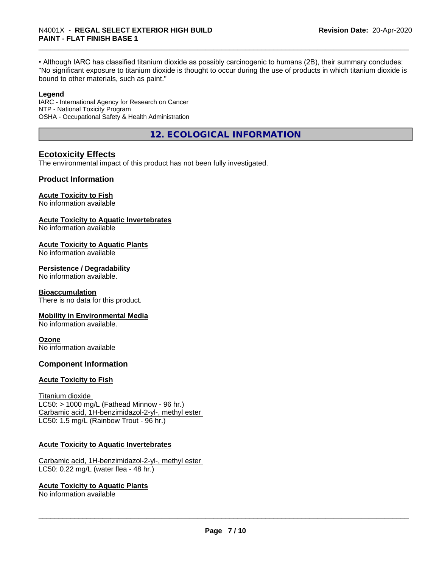• Although IARC has classified titanium dioxide as possibly carcinogenic to humans (2B), their summary concludes: "No significant exposure to titanium dioxide is thought to occur during the use of products in which titanium dioxide is bound to other materials, such as paint."

#### **Legend**

IARC - International Agency for Research on Cancer NTP - National Toxicity Program OSHA - Occupational Safety & Health Administration

**12. ECOLOGICAL INFORMATION**

#### **Ecotoxicity Effects**

The environmental impact of this product has not been fully investigated.

#### **Product Information**

#### **Acute Toxicity to Fish**

No information available

#### **Acute Toxicity to Aquatic Invertebrates**

No information available

#### **Acute Toxicity to Aquatic Plants**

No information available

#### **Persistence / Degradability**

No information available.

#### **Bioaccumulation**

There is no data for this product.

#### **Mobility in Environmental Media**

No information available.

#### **Ozone**

No information available

#### **Component Information**

#### **Acute Toxicity to Fish**

Titanium dioxide  $LC50:$  > 1000 mg/L (Fathead Minnow - 96 hr.) Carbamic acid, 1H-benzimidazol-2-yl-, methyl ester LC50: 1.5 mg/L (Rainbow Trout - 96 hr.)

#### **Acute Toxicity to Aquatic Invertebrates**

Carbamic acid, 1H-benzimidazol-2-yl-, methyl ester LC50: 0.22 mg/L (water flea - 48 hr.)

#### **Acute Toxicity to Aquatic Plants**

No information available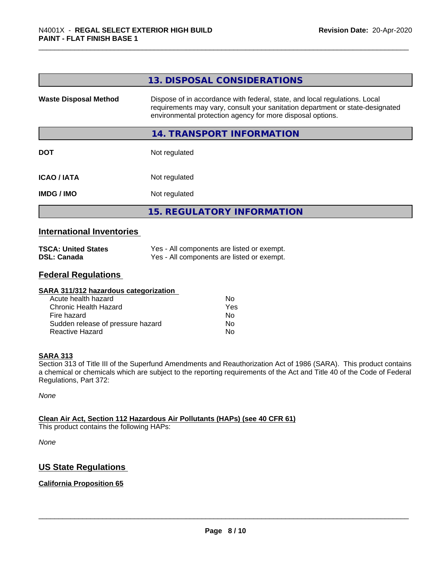|                              | 13. DISPOSAL CONSIDERATIONS                                                                                                                                                                                               |
|------------------------------|---------------------------------------------------------------------------------------------------------------------------------------------------------------------------------------------------------------------------|
| <b>Waste Disposal Method</b> | Dispose of in accordance with federal, state, and local regulations. Local<br>requirements may vary, consult your sanitation department or state-designated<br>environmental protection agency for more disposal options. |
|                              | 14. TRANSPORT INFORMATION                                                                                                                                                                                                 |
| <b>DOT</b>                   | Not regulated                                                                                                                                                                                                             |
| <b>ICAO/IATA</b>             | Not regulated                                                                                                                                                                                                             |
| <b>IMDG/IMO</b>              | Not regulated                                                                                                                                                                                                             |
|                              | <b>15. REGULATORY INFORMATION</b>                                                                                                                                                                                         |

#### **International Inventories**

| <b>TSCA: United States</b> | Yes - All components are listed or exempt. |
|----------------------------|--------------------------------------------|
| <b>DSL: Canada</b>         | Yes - All components are listed or exempt. |

#### **Federal Regulations**

| Nο  |  |
|-----|--|
| Yes |  |
| No  |  |
| Nο  |  |
| No  |  |
|     |  |

#### **SARA 313**

Section 313 of Title III of the Superfund Amendments and Reauthorization Act of 1986 (SARA). This product contains a chemical or chemicals which are subject to the reporting requirements of the Act and Title 40 of the Code of Federal Regulations, Part 372:

*None*

#### **Clean Air Act,Section 112 Hazardous Air Pollutants (HAPs) (see 40 CFR 61)**

This product contains the following HAPs:

*None*

### **US State Regulations**

#### **California Proposition 65**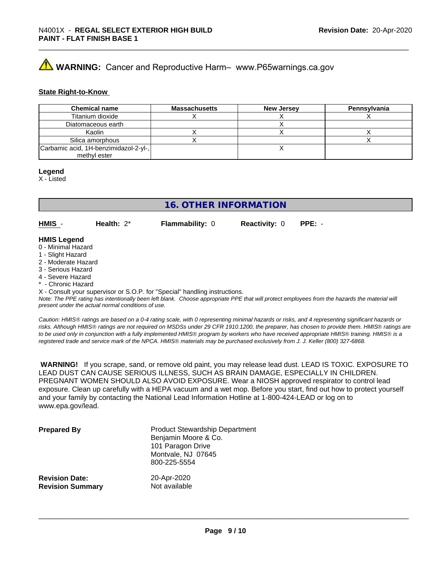# **AVIMARNING:** Cancer and Reproductive Harm– www.P65warnings.ca.gov

#### **State Right-to-Know**

| <b>Chemical name</b>                  | <b>Massachusetts</b> | <b>New Jersey</b> | Pennsylvania |
|---------------------------------------|----------------------|-------------------|--------------|
| Titanium dioxide                      |                      |                   |              |
| Diatomaceous earth                    |                      |                   |              |
| Kaolin                                |                      |                   |              |
| Silica amorphous                      |                      |                   |              |
| Carbamic acid, 1H-benzimidazol-2-yl-, |                      |                   |              |
| methyl ester                          |                      |                   |              |

#### **Legend**

X - Listed

### **16. OTHER INFORMATION**

**HMIS** - **Health:** 2\* **Flammability:** 0 **Reactivity:** 0 **PPE:** -

#### **HMIS Legend**

- 0 Minimal Hazard
- 1 Slight Hazard
- 2 Moderate Hazard
- 3 Serious Hazard
- 4 Severe Hazard
- \* Chronic Hazard

X - Consult your supervisor or S.O.P. for "Special" handling instructions.

*Note: The PPE rating has intentionally been left blank. Choose appropriate PPE that will protect employees from the hazards the material will present under the actual normal conditions of use.*

*Caution: HMISÒ ratings are based on a 0-4 rating scale, with 0 representing minimal hazards or risks, and 4 representing significant hazards or risks. Although HMISÒ ratings are not required on MSDSs under 29 CFR 1910.1200, the preparer, has chosen to provide them. HMISÒ ratings are to be used only in conjunction with a fully implemented HMISÒ program by workers who have received appropriate HMISÒ training. HMISÒ is a registered trade and service mark of the NPCA. HMISÒ materials may be purchased exclusively from J. J. Keller (800) 327-6868.*

 **WARNING!** If you scrape, sand, or remove old paint, you may release lead dust. LEAD IS TOXIC. EXPOSURE TO LEAD DUST CAN CAUSE SERIOUS ILLNESS, SUCH AS BRAIN DAMAGE, ESPECIALLY IN CHILDREN. PREGNANT WOMEN SHOULD ALSO AVOID EXPOSURE.Wear a NIOSH approved respirator to control lead exposure. Clean up carefully with a HEPA vacuum and a wet mop. Before you start, find out how to protect yourself and your family by contacting the National Lead Information Hotline at 1-800-424-LEAD or log on to www.epa.gov/lead.

| <b>Prepared By</b>      | <b>Product Stewardship Department</b><br>Benjamin Moore & Co.<br>101 Paragon Drive<br>Montvale, NJ 07645<br>800-225-5554 |
|-------------------------|--------------------------------------------------------------------------------------------------------------------------|
| <b>Revision Date:</b>   | 20-Apr-2020                                                                                                              |
| <b>Revision Summary</b> | Not available                                                                                                            |